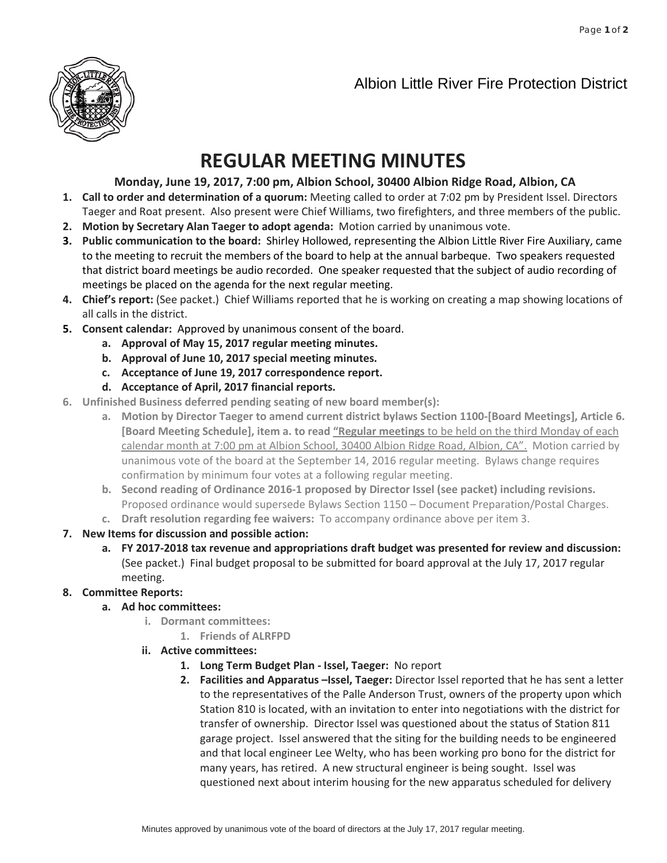

## Albion Little River Fire Protection District

## **REGULAR MEETING MINUTES**

## **Monday, June 19, 2017, 7:00 pm, Albion School, 30400 Albion Ridge Road, Albion, CA**

- **1. Call to order and determination of a quorum:** Meeting called to order at 7:02 pm by President Issel. Directors Taeger and Roat present. Also present were Chief Williams, two firefighters, and three members of the public.
- **2. Motion by Secretary Alan Taeger to adopt agenda:** Motion carried by unanimous vote.
- **3. Public communication to the board:** Shirley Hollowed, representing the Albion Little River Fire Auxiliary, came to the meeting to recruit the members of the board to help at the annual barbeque. Two speakers requested that district board meetings be audio recorded. One speaker requested that the subject of audio recording of meetings be placed on the agenda for the next regular meeting.
- **4. Chief's report:** (See packet.) Chief Williams reported that he is working on creating a map showing locations of all calls in the district.
- **5. Consent calendar:** Approved by unanimous consent of the board.
	- **a. Approval of May 15, 2017 regular meeting minutes.**
	- **b. Approval of June 10, 2017 special meeting minutes.**
	- **c. Acceptance of June 19, 2017 correspondence report.**
	- **d. Acceptance of April, 2017 financial reports.**
- **6. Unfinished Business deferred pending seating of new board member(s):**
	- **a. Motion by Director Taeger to amend current district bylaws Section 1100-[Board Meetings], Article 6. [Board Meeting Schedule], item a. to read "Regular meetings** to be held on the third Monday of each calendar month at 7:00 pm at Albion School, 30400 Albion Ridge Road, Albion, CA". Motion carried by unanimous vote of the board at the September 14, 2016 regular meeting. Bylaws change requires confirmation by minimum four votes at a following regular meeting.
	- **b. Second reading of Ordinance 2016-1 proposed by Director Issel (see packet) including revisions.** Proposed ordinance would supersede Bylaws Section 1150 – Document Preparation/Postal Charges.
	- **c. Draft resolution regarding fee waivers:** To accompany ordinance above per item 3.
- **7. New Items for discussion and possible action:**
	- **a. FY 2017-2018 tax revenue and appropriations draft budget was presented for review and discussion:** (See packet.) Final budget proposal to be submitted for board approval at the July 17, 2017 regular meeting.

## **8. Committee Reports:**

- **a. Ad hoc committees:**
	- **i. Dormant committees:**
		- **1. Friends of ALRFPD**
	- **ii. Active committees:**
		- **1. Long Term Budget Plan - Issel, Taeger:** No report
		- **2. Facilities and Apparatus –Issel, Taeger:** Director Issel reported that he has sent a letter to the representatives of the Palle Anderson Trust, owners of the property upon which Station 810 is located, with an invitation to enter into negotiations with the district for transfer of ownership. Director Issel was questioned about the status of Station 811 garage project. Issel answered that the siting for the building needs to be engineered and that local engineer Lee Welty, who has been working pro bono for the district for many years, has retired. A new structural engineer is being sought. Issel was questioned next about interim housing for the new apparatus scheduled for delivery